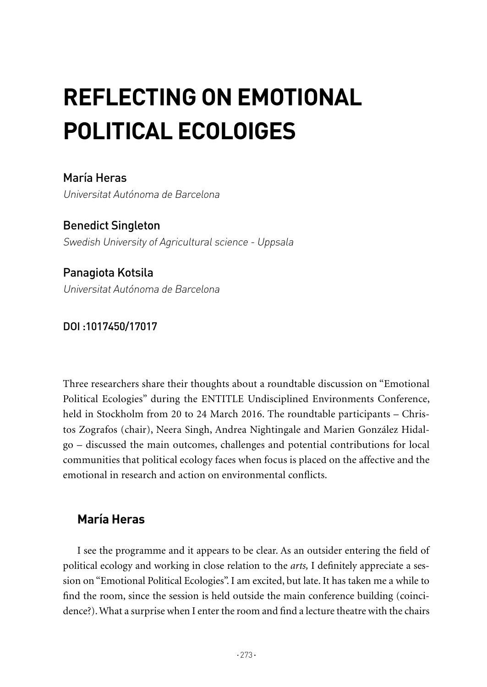## **REFLECTING ON EMOTIONAL POLITICAL ECOLOIGES**

María Heras Universitat Autónoma de Barcelona

Benedict Singleton Swedish University of Agricultural science - Uppsala

Panagiota Kotsila Universitat Autónoma de Barcelona

DOI :1017450/17017

Three researchers share their thoughts about a roundtable discussion on "Emotional Political Ecologies" during the ENTITLE Undisciplined Environments Conference, held in Stockholm from 20 to 24 March 2016. The roundtable participants – Christos Zografos (chair), Neera Singh, Andrea Nightingale and Marien González Hidalgo – discussed the main outcomes, challenges and potential contributions for local communities that political ecology faces when focus is placed on the affective and the emotional in research and action on environmental conflicts.

## **María Heras**

I see the programme and it appears to be clear. As an outsider entering the field of political ecology and working in close relation to the *arts,* I definitely appreciate a session on "Emotional Political Ecologies". I am excited, but late. It has taken me a while to find the room, since the session is held outside the main conference building (coincidence?). What a surprise when I enter the room and find a lecture theatre with the chairs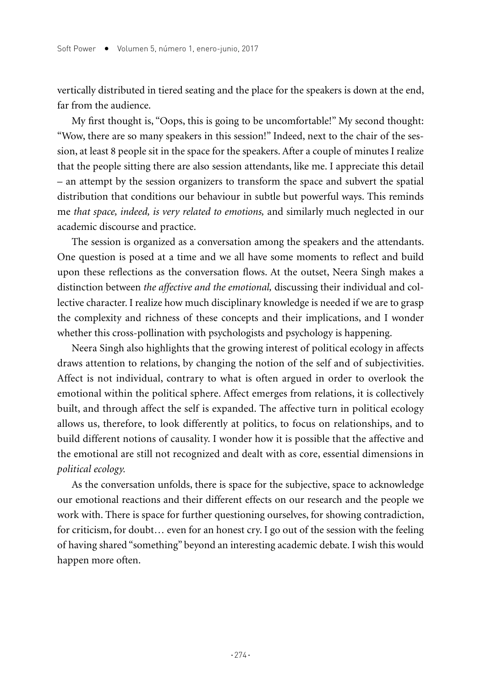vertically distributed in tiered seating and the place for the speakers is down at the end, far from the audience.

My first thought is, "Oops, this is going to be uncomfortable!" My second thought: "Wow, there are so many speakers in this session!" Indeed, next to the chair of the session, at least 8 people sit in the space for the speakers. After a couple of minutes I realize that the people sitting there are also session attendants, like me. I appreciate this detail – an attempt by the session organizers to transform the space and subvert the spatial distribution that conditions our behaviour in subtle but powerful ways. This reminds me *that space, indeed, is very related to emotions,* and similarly much neglected in our academic discourse and practice.

The session is organized as a conversation among the speakers and the attendants. One question is posed at a time and we all have some moments to reflect and build upon these reflections as the conversation flows. At the outset, Neera Singh makes a distinction between *the affective and the emotional,* discussing their individual and collective character. I realize how much disciplinary knowledge is needed if we are to grasp the complexity and richness of these concepts and their implications, and I wonder whether this cross-pollination with psychologists and psychology is happening.

Neera Singh also highlights that the growing interest of political ecology in affects draws attention to relations, by changing the notion of the self and of subjectivities. Affect is not individual, contrary to what is often argued in order to overlook the emotional within the political sphere. Affect emerges from relations, it is collectively built, and through affect the self is expanded. The affective turn in political ecology allows us, therefore, to look differently at politics, to focus on relationships, and to build different notions of causality. I wonder how it is possible that the affective and the emotional are still not recognized and dealt with as core, essential dimensions in *political ecology.*

As the conversation unfolds, there is space for the subjective, space to acknowledge our emotional reactions and their different effects on our research and the people we work with. There is space for further questioning ourselves, for showing contradiction, for criticism, for doubt… even for an honest cry. I go out of the session with the feeling of having shared "something" beyond an interesting academic debate. I wish this would happen more often.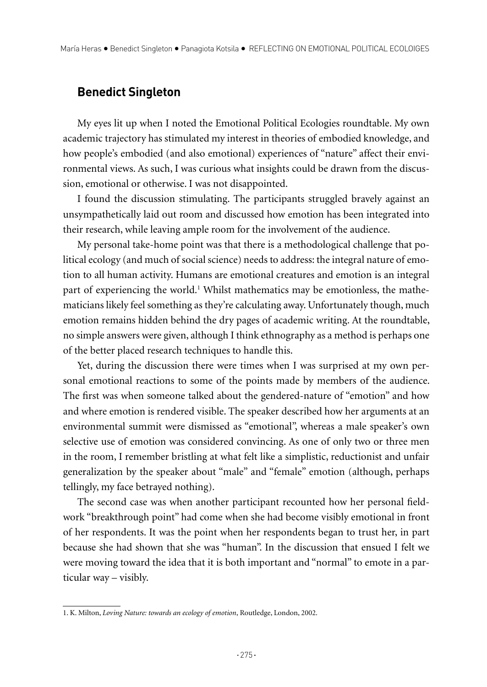## **Benedict Singleton**

My eyes lit up when I noted the Emotional Political Ecologies roundtable. My own academic trajectory has stimulated my interest in theories of embodied knowledge, and how people's embodied (and also emotional) experiences of "nature" affect their environmental views. As such, I was curious what insights could be drawn from the discussion, emotional or otherwise. I was not disappointed.

I found the discussion stimulating. The participants struggled bravely against an unsympathetically laid out room and discussed how emotion has been integrated into their research, while leaving ample room for the involvement of the audience.

My personal take-home point was that there is a methodological challenge that political ecology (and much of social science) needs to address: the integral nature of emotion to all human activity. Humans are emotional creatures and emotion is an integral part of experiencing the world.<sup>1</sup> Whilst mathematics may be emotionless, the mathematicians likely feel something as they're calculating away. Unfortunately though, much emotion remains hidden behind the dry pages of academic writing. At the roundtable, no simple answers were given, although I think ethnography as a method is perhaps one of the better placed research techniques to handle this.

Yet, during the discussion there were times when I was surprised at my own personal emotional reactions to some of the points made by members of the audience. The first was when someone talked about the gendered-nature of "emotion" and how and where emotion is rendered visible. The speaker described how her arguments at an environmental summit were dismissed as "emotional", whereas a male speaker's own selective use of emotion was considered convincing. As one of only two or three men in the room, I remember bristling at what felt like a simplistic, reductionist and unfair generalization by the speaker about "male" and "female" emotion (although, perhaps tellingly, my face betrayed nothing).

The second case was when another participant recounted how her personal fieldwork "breakthrough point" had come when she had become visibly emotional in front of her respondents. It was the point when her respondents began to trust her, in part because she had shown that she was "human". In the discussion that ensued I felt we were moving toward the idea that it is both important and "normal" to emote in a particular way – visibly.

<sup>1.</sup> K. Milton, *Loving Nature: towards an ecology of emotion*, Routledge, London, 2002.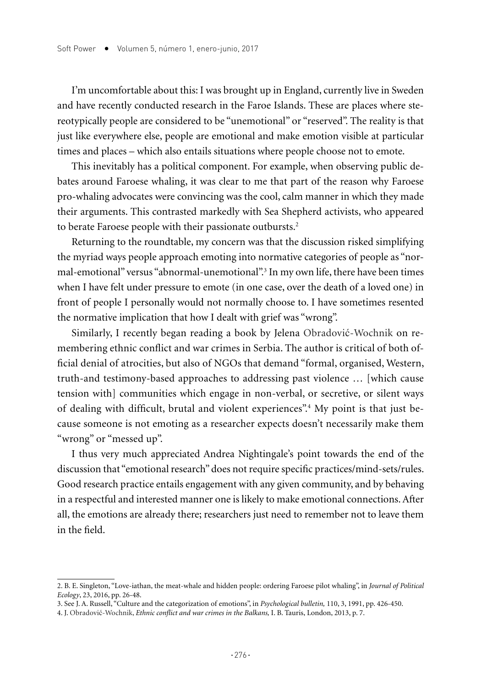I'm uncomfortable about this: I was brought up in England, currently live in Sweden and have recently conducted research in the Faroe Islands. These are places where stereotypically people are considered to be "unemotional" or "reserved". The reality is that just like everywhere else, people are emotional and make emotion visible at particular times and places – which also entails situations where people choose not to emote.

This inevitably has a political component. For example, when observing public debates around Faroese whaling, it was clear to me that part of the reason why Faroese pro-whaling advocates were convincing was the cool, calm manner in which they made their arguments. This contrasted markedly with Sea Shepherd activists, who appeared to berate Faroese people with their passionate outbursts.<sup>2</sup>

Returning to the roundtable, my concern was that the discussion risked simplifying the myriad ways people approach emoting into normative categories of people as "normal-emotional" versus "abnormal-unemotional".3 In my own life, there have been times when I have felt under pressure to emote (in one case, over the death of a loved one) in front of people I personally would not normally choose to. I have sometimes resented the normative implication that how I dealt with grief was "wrong".

Similarly, I recently began reading a book by Jelena Obradović-Wochnik on remembering ethnic conflict and war crimes in Serbia. The author is critical of both official denial of atrocities, but also of NGOs that demand "formal, organised, Western, truth-and testimony-based approaches to addressing past violence … [which cause tension with] communities which engage in non-verbal, or secretive, or silent ways of dealing with difficult, brutal and violent experiences".4 My point is that just because someone is not emoting as a researcher expects doesn't necessarily make them "wrong" or "messed up".

I thus very much appreciated Andrea Nightingale's point towards the end of the discussion that "emotional research" does not require specific practices/mind-sets/rules. Good research practice entails engagement with any given community, and by behaving in a respectful and interested manner one is likely to make emotional connections. After all, the emotions are already there; researchers just need to remember not to leave them in the field.

<sup>2.</sup> B. E. Singleton, "Love-iathan, the meat-whale and hidden people: ordering Faroese pilot whaling", in *Journal of Political Ecology*, 23, 2016, pp. 26-48.

<sup>3.</sup> See J. A. Russell, "Culture and the categorization of emotions", in *Psychological bulletin,* 110, 3, 1991, pp. 426-450.

<sup>4.</sup> J. Obradović-Wochnik, *Ethnic conflict and war crimes in the Balkans,* I. B. Tauris, London, 2013, p. 7.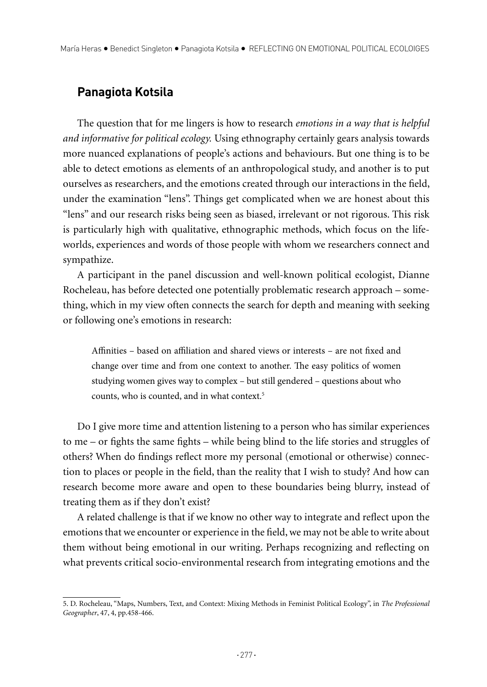## **Panagiota Kotsila**

The question that for me lingers is how to research *emotions in a way that is helpful and informative for political ecology.* Using ethnography certainly gears analysis towards more nuanced explanations of people's actions and behaviours. But one thing is to be able to detect emotions as elements of an anthropological study, and another is to put ourselves as researchers, and the emotions created through our interactions in the field, under the examination "lens". Things get complicated when we are honest about this "lens" and our research risks being seen as biased, irrelevant or not rigorous. This risk is particularly high with qualitative, ethnographic methods, which focus on the lifeworlds, experiences and words of those people with whom we researchers connect and sympathize.

A participant in the panel discussion and well-known political ecologist, Dianne Rocheleau, has before detected one potentially problematic research approach – something, which in my view often connects the search for depth and meaning with seeking or following one's emotions in research:

Affinities – based on affiliation and shared views or interests – are not fixed and change over time and from one context to another. The easy politics of women studying women gives way to complex – but still gendered – questions about who counts, who is counted, and in what context.5

Do I give more time and attention listening to a person who has similar experiences to me – or fights the same fights – while being blind to the life stories and struggles of others? When do findings reflect more my personal (emotional or otherwise) connection to places or people in the field, than the reality that I wish to study? And how can research become more aware and open to these boundaries being blurry, instead of treating them as if they don't exist?

A related challenge is that if we know no other way to integrate and reflect upon the emotions that we encounter or experience in the field, we may not be able to write about them without being emotional in our writing. Perhaps recognizing and reflecting on what prevents critical socio-environmental research from integrating emotions and the

<sup>5.</sup> D. Rocheleau, "Maps, Numbers, Text, and Context: Mixing Methods in Feminist Political Ecology", in *The Professional Geographer*, 47, 4, pp.458-466.